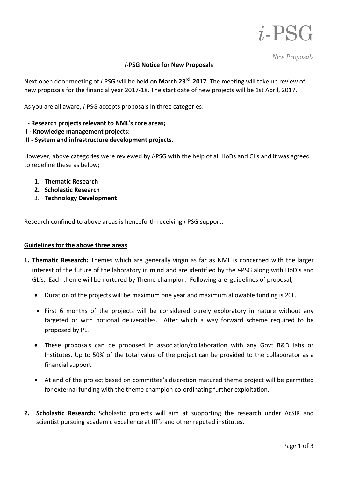

*New Proposals* 

## *i***-PSG Notice for New Proposals**

Next open door meeting of *i*-PSG will be held on **March 23rd 2017**. The meeting will take up review of new proposals for the financial year 2017-18. The start date of new projects will be 1st April, 2017.

As you are all aware, *i*-PSG accepts proposals in three categories:

- **I - Research projects relevant to NML's core areas;**
- **II - Knowledge management projects;**

## **III - System and infrastructure development projects.**

However, above categories were reviewed by *i*-PSG with the help of all HoDs and GLs and it was agreed to redefine these as below;

- **1. Thematic Research**
- **2. Scholastic Research**
- 3. **Technology Development**

Research confined to above areas is henceforth receiving *i*-PSG support.

## **Guidelines for the above three areas**

- **1. Thematic Research:** Themes which are generally virgin as far as NML is concerned with the larger interest of the future of the laboratory in mind and are identified by the *i*-PSG along with HoD's and GL's. Each theme will be nurtured by Theme champion. Following are guidelines of proposal;
	- Duration of the projects will be maximum one year and maximum allowable funding is 20L.
	- First 6 months of the projects will be considered purely exploratory in nature without any targeted or with notional deliverables. After which a way forward scheme required to be proposed by PL.
	- These proposals can be proposed in association/collaboration with any Govt R&D labs or Institutes. Up to 50% of the total value of the project can be provided to the collaborator as a financial support.
	- At end of the project based on committee's discretion matured theme project will be permitted for external funding with the theme champion co-ordinating further exploitation.
- **2. Scholastic Research:** Scholastic projects will aim at supporting the research under AcSIR and scientist pursuing academic excellence at IIT's and other reputed institutes.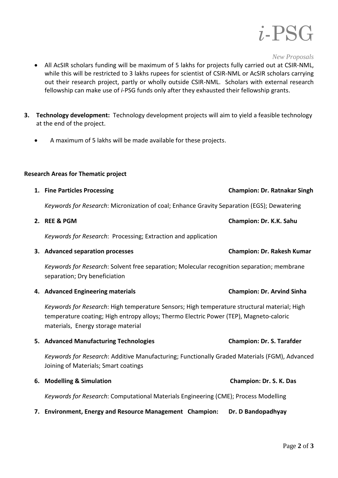

*New Proposals* 

- All AcSIR scholars funding will be maximum of 5 lakhs for projects fully carried out at CSIR-NML, while this will be restricted to 3 lakhs rupees for scientist of CSIR-NML or AcSIR scholars carrying out their research project, partly or wholly outside CSIR-NML. Scholars with external research fellowship can make use of *i*-PSG funds only after they exhausted their fellowship grants.
- **3. Technology development:** Technology development projects will aim to yield a feasible technology at the end of the project.
	- A maximum of 5 lakhs will be made available for these projects.

## **Research Areas for Thematic project**

| 1. Fine Particles Processing                                                                                                                                                                                                | <b>Champion: Dr. Ratnakar Singh</b> |
|-----------------------------------------------------------------------------------------------------------------------------------------------------------------------------------------------------------------------------|-------------------------------------|
| Keywords for Research: Micronization of coal; Enhance Gravity Separation (EGS); Dewatering                                                                                                                                  |                                     |
| 2. REE & PGM                                                                                                                                                                                                                | Champion: Dr. K.K. Sahu             |
| Keywords for Research: Processing; Extraction and application                                                                                                                                                               |                                     |
| 3. Advanced separation processes                                                                                                                                                                                            | <b>Champion: Dr. Rakesh Kumar</b>   |
| Keywords for Research: Solvent free separation; Molecular recognition separation; membrane<br>separation; Dry beneficiation                                                                                                 |                                     |
| 4. Advanced Engineering materials                                                                                                                                                                                           | <b>Champion: Dr. Arvind Sinha</b>   |
| Keywords for Research: High temperature Sensors; High temperature structural material; High<br>temperature coating; High entropy alloys; Thermo Electric Power (TEP), Magneto-caloric<br>materials, Energy storage material |                                     |
| 5. Advanced Manufacturing Technologies                                                                                                                                                                                      | <b>Champion: Dr. S. Tarafder</b>    |
| Keywords for Research: Additive Manufacturing; Functionally Graded Materials (FGM), Advanced<br>Joining of Materials; Smart coatings                                                                                        |                                     |
| 6. Modelling & Simulation                                                                                                                                                                                                   | Champion: Dr. S. K. Das             |
| Keywords for Research: Computational Materials Engineering (CME); Process Modelling                                                                                                                                         |                                     |

**7. Environment, Energy and Resource Management Champion: Dr. D Bandopadhyay**